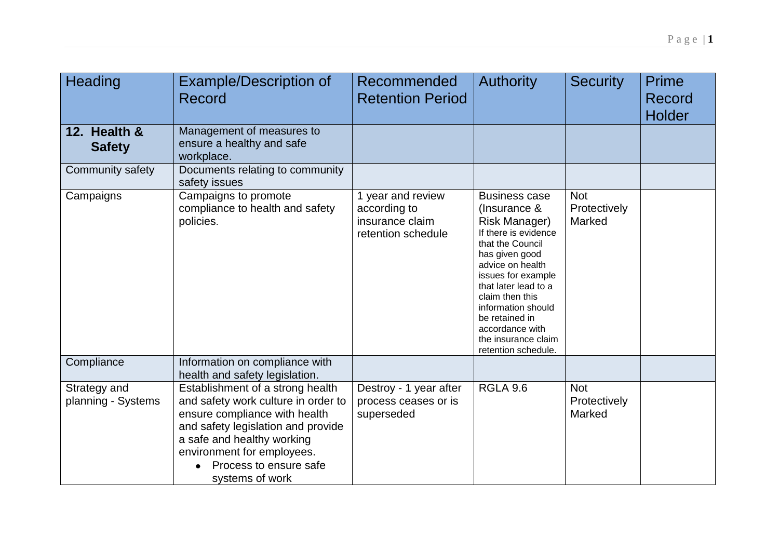| Heading                            | <b>Example/Description of</b><br>Record                                                                                                                                                                                                                 | Recommended<br><b>Retention Period</b>                                     | <b>Authority</b>                                                                                                                                                                                                                                                                                                         | <b>Security</b>                      | <b>Prime</b><br>Record<br><b>Holder</b> |
|------------------------------------|---------------------------------------------------------------------------------------------------------------------------------------------------------------------------------------------------------------------------------------------------------|----------------------------------------------------------------------------|--------------------------------------------------------------------------------------------------------------------------------------------------------------------------------------------------------------------------------------------------------------------------------------------------------------------------|--------------------------------------|-----------------------------------------|
| 12. Health &<br><b>Safety</b>      | Management of measures to<br>ensure a healthy and safe<br>workplace.                                                                                                                                                                                    |                                                                            |                                                                                                                                                                                                                                                                                                                          |                                      |                                         |
| Community safety                   | Documents relating to community<br>safety issues                                                                                                                                                                                                        |                                                                            |                                                                                                                                                                                                                                                                                                                          |                                      |                                         |
| Campaigns                          | Campaigns to promote<br>compliance to health and safety<br>policies.                                                                                                                                                                                    | 1 year and review<br>according to<br>insurance claim<br>retention schedule | <b>Business case</b><br>(Insurance &<br><b>Risk Manager)</b><br>If there is evidence<br>that the Council<br>has given good<br>advice on health<br>issues for example<br>that later lead to a<br>claim then this<br>information should<br>be retained in<br>accordance with<br>the insurance claim<br>retention schedule. | <b>Not</b><br>Protectively<br>Marked |                                         |
| Compliance                         | Information on compliance with<br>health and safety legislation.                                                                                                                                                                                        |                                                                            |                                                                                                                                                                                                                                                                                                                          |                                      |                                         |
| Strategy and<br>planning - Systems | Establishment of a strong health<br>and safety work culture in order to<br>ensure compliance with health<br>and safety legislation and provide<br>a safe and healthy working<br>environment for employees.<br>Process to ensure safe<br>systems of work | Destroy - 1 year after<br>process ceases or is<br>superseded               | <b>RGLA 9.6</b>                                                                                                                                                                                                                                                                                                          | <b>Not</b><br>Protectively<br>Marked |                                         |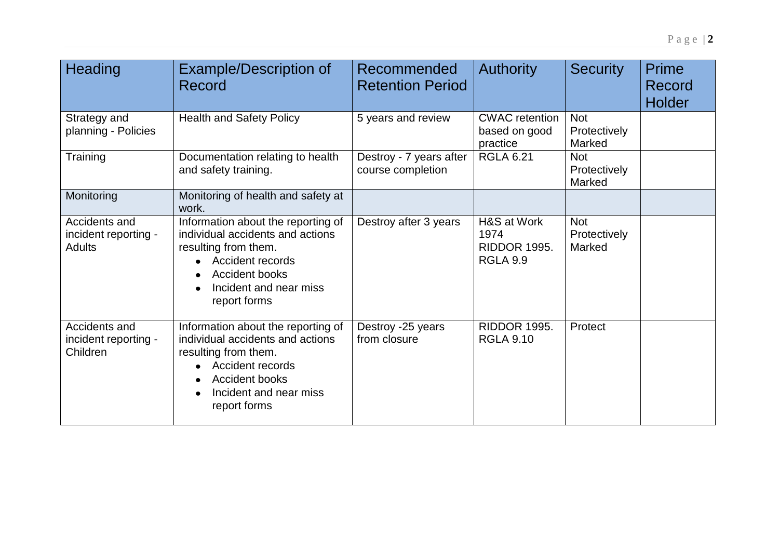| <b>Heading</b>                                         | <b>Example/Description of</b><br>Record                                                                                                                                                      | Recommended<br><b>Retention Period</b>       | <b>Authority</b>                                              | <b>Security</b>                      | <b>Prime</b><br>Record<br><b>Holder</b> |
|--------------------------------------------------------|----------------------------------------------------------------------------------------------------------------------------------------------------------------------------------------------|----------------------------------------------|---------------------------------------------------------------|--------------------------------------|-----------------------------------------|
| Strategy and<br>planning - Policies                    | <b>Health and Safety Policy</b>                                                                                                                                                              | 5 years and review                           | <b>CWAC</b> retention<br>based on good<br>practice            | <b>Not</b><br>Protectively<br>Marked |                                         |
| Training                                               | Documentation relating to health<br>and safety training.                                                                                                                                     | Destroy - 7 years after<br>course completion | <b>RGLA 6.21</b>                                              | <b>Not</b><br>Protectively<br>Marked |                                         |
| Monitoring                                             | Monitoring of health and safety at<br>work.                                                                                                                                                  |                                              |                                                               |                                      |                                         |
| Accidents and<br>incident reporting -<br><b>Adults</b> | Information about the reporting of<br>individual accidents and actions<br>resulting from them.<br>Accident records<br>Accident books<br>Incident and near miss<br>report forms               | Destroy after 3 years                        | H&S at Work<br>1974<br><b>RIDDOR 1995.</b><br><b>RGLA 9.9</b> | <b>Not</b><br>Protectively<br>Marked |                                         |
| Accidents and<br>incident reporting -<br>Children      | Information about the reporting of<br>individual accidents and actions<br>resulting from them.<br><b>Accident records</b><br><b>Accident books</b><br>Incident and near miss<br>report forms | Destroy -25 years<br>from closure            | <b>RIDDOR 1995.</b><br><b>RGLA 9.10</b>                       | Protect                              |                                         |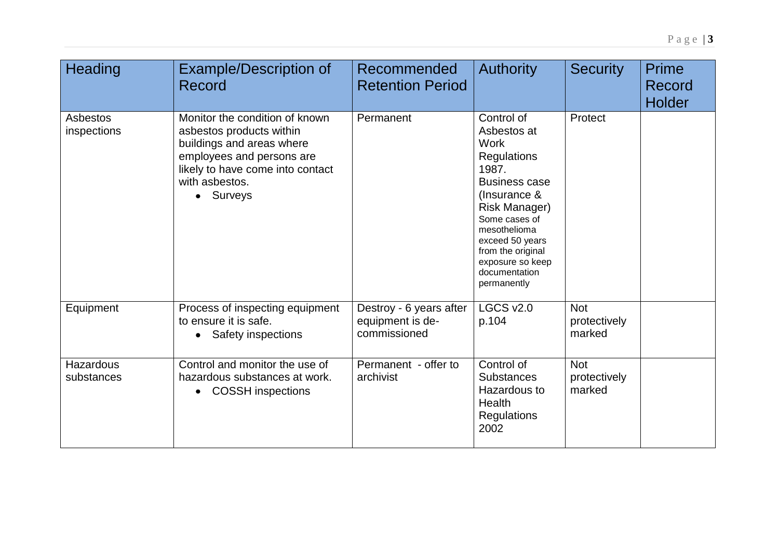| Heading                        | <b>Example/Description of</b><br>Record                                                                                                                                                 | Recommended<br><b>Retention Period</b>                      | <b>Authority</b>                                                                                                                                                                                                                                              | <b>Security</b>                      | Prime<br>Record<br><b>Holder</b> |
|--------------------------------|-----------------------------------------------------------------------------------------------------------------------------------------------------------------------------------------|-------------------------------------------------------------|---------------------------------------------------------------------------------------------------------------------------------------------------------------------------------------------------------------------------------------------------------------|--------------------------------------|----------------------------------|
| <b>Asbestos</b><br>inspections | Monitor the condition of known<br>asbestos products within<br>buildings and areas where<br>employees and persons are<br>likely to have come into contact<br>with asbestos.<br>• Surveys | Permanent                                                   | Control of<br>Asbestos at<br><b>Work</b><br>Regulations<br>1987.<br><b>Business case</b><br>(Insurance &<br><b>Risk Manager)</b><br>Some cases of<br>mesothelioma<br>exceed 50 years<br>from the original<br>exposure so keep<br>documentation<br>permanently | Protect                              |                                  |
| Equipment                      | Process of inspecting equipment<br>to ensure it is safe.<br>Safety inspections                                                                                                          | Destroy - 6 years after<br>equipment is de-<br>commissioned | <b>LGCS v2.0</b><br>p.104                                                                                                                                                                                                                                     | <b>Not</b><br>protectively<br>marked |                                  |
| <b>Hazardous</b><br>substances | Control and monitor the use of<br>hazardous substances at work.<br><b>COSSH</b> inspections                                                                                             | Permanent - offer to<br>archivist                           | Control of<br><b>Substances</b><br>Hazardous to<br>Health<br><b>Regulations</b><br>2002                                                                                                                                                                       | <b>Not</b><br>protectively<br>marked |                                  |